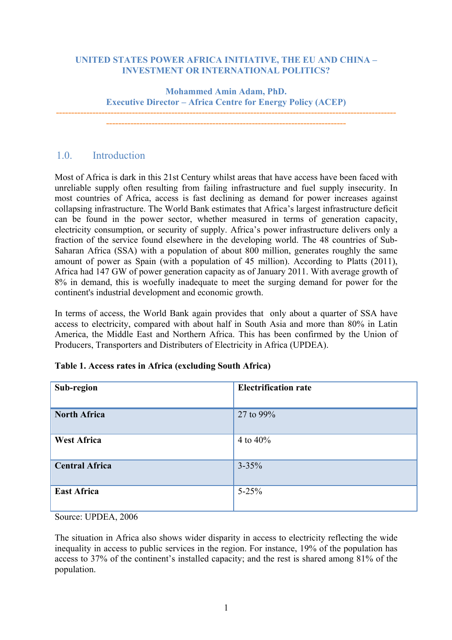#### **UNITED STATES POWER AFRICA INITIATIVE, THE EU AND CHINA – INVESTMENT OR INTERNATIONAL POLITICS?**

**Mohammed Amin Adam, PhD. Executive Director – Africa Centre for Energy Policy (ACEP)**

**---------------------------------------------------------------------------------------------------------------- -------------------------------------------------------------------------------**

# 1.0. Introduction

Most of Africa is dark in this 21st Century whilst areas that have access have been faced with unreliable supply often resulting from failing infrastructure and fuel supply insecurity. In most countries of Africa, access is fast declining as demand for power increases against collapsing infrastructure. The World Bank estimates that Africa's largest infrastructure deficit can be found in the power sector, whether measured in terms of generation capacity, electricity consumption, or security of supply. Africa's power infrastructure delivers only a fraction of the service found elsewhere in the developing world. The 48 countries of Sub-Saharan Africa (SSA) with a population of about 800 million, generates roughly the same amount of power as Spain (with a population of 45 million). According to Platts (2011), Africa had 147 GW of power generation capacity as of January 2011. With average growth of 8% in demand, this is woefully inadequate to meet the surging demand for power for the continent's industrial development and economic growth.

In terms of access, the World Bank again provides that only about a quarter of SSA have access to electricity, compared with about half in South Asia and more than 80% in Latin America, the Middle East and Northern Africa. This has been confirmed by the Union of Producers, Transporters and Distributers of Electricity in Africa (UPDEA).

| Sub-region            | <b>Electrification rate</b> |
|-----------------------|-----------------------------|
| <b>North Africa</b>   | 27 to 99%                   |
| <b>West Africa</b>    | 4 to $40\%$                 |
| <b>Central Africa</b> | $3 - 35\%$                  |
| <b>East Africa</b>    | $5 - 25%$                   |

| Table 1. Access rates in Africa (excluding South Africa) |  |
|----------------------------------------------------------|--|
|----------------------------------------------------------|--|

Source: UPDEA, 2006

The situation in Africa also shows wider disparity in access to electricity reflecting the wide inequality in access to public services in the region. For instance, 19% of the population has access to 37% of the continent's installed capacity; and the rest is shared among 81% of the population.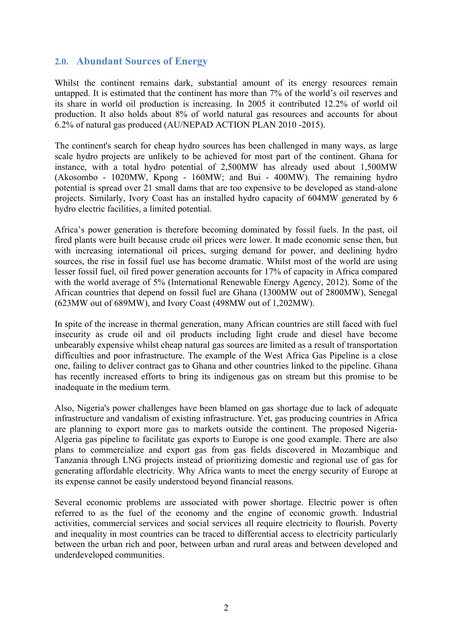### **2.0. Abundant Sources of Energy**

Whilst the continent remains dark, substantial amount of its energy resources remain untapped. It is estimated that the continent has more than 7% of the world's oil reserves and its share in world oil production is increasing. In 2005 it contributed 12.2% of world oil production. It also holds about 8% of world natural gas resources and accounts for about 6.2% of natural gas produced (AU/NEPAD ACTION PLAN 2010 -2015).

The continent's search for cheap hydro sources has been challenged in many ways, as large scale hydro projects are unlikely to be achieved for most part of the continent. Ghana for instance, with a total hydro potential of 2,500MW has already used about 1,500MW (Akosombo - 1020MW, Kpong - 160MW; and Bui - 400MW). The remaining hydro potential is spread over 21 small dams that are too expensive to be developed as stand-alone projects. Similarly, Ivory Coast has an installed hydro capacity of 604MW generated by 6 hydro electric facilities, a limited potential.

Africa's power generation is therefore becoming dominated by fossil fuels. In the past, oil fired plants were built because crude oil prices were lower. It made economic sense then, but with increasing international oil prices, surging demand for power, and declining hydro sources, the rise in fossil fuel use has become dramatic. Whilst most of the world are using lesser fossil fuel, oil fired power generation accounts for 17% of capacity in Africa compared with the world average of 5% (International Renewable Energy Agency, 2012). Some of the African countries that depend on fossil fuel are Ghana (1300MW out of 2800MW), Senegal (623MW out of 689MW), and Ivory Coast (498MW out of 1,202MW).

In spite of the increase in thermal generation, many African countries are still faced with fuel insecurity as crude oil and oil products including light crude and diesel have become unbearably expensive whilst cheap natural gas sources are limited as a result of transportation difficulties and poor infrastructure. The example of the West Africa Gas Pipeline is a close one, failing to deliver contract gas to Ghana and other countries linked to the pipeline. Ghana has recently increased efforts to bring its indigenous gas on stream but this promise to be inadequate in the medium term.

Also, Nigeria's power challenges have been blamed on gas shortage due to lack of adequate infrastructure and vandalism of existing infrastructure. Yet, gas producing countries in Africa are planning to export more gas to markets outside the continent. The proposed Nigeria-Algeria gas pipeline to facilitate gas exports to Europe is one good example. There are also plans to commercialize and export gas from gas fields discovered in Mozambique and Tanzania through LNG projects instead of prioritizing domestic and regional use of gas for generating affordable electricity. Why Africa wants to meet the energy security of Europe at its expense cannot be easily understood beyond financial reasons.

Several economic problems are associated with power shortage. Electric power is often referred to as the fuel of the economy and the engine of economic growth. Industrial activities, commercial services and social services all require electricity to flourish. Poverty and inequality in most countries can be traced to differential access to electricity particularly between the urban rich and poor, between urban and rural areas and between developed and underdeveloped communities.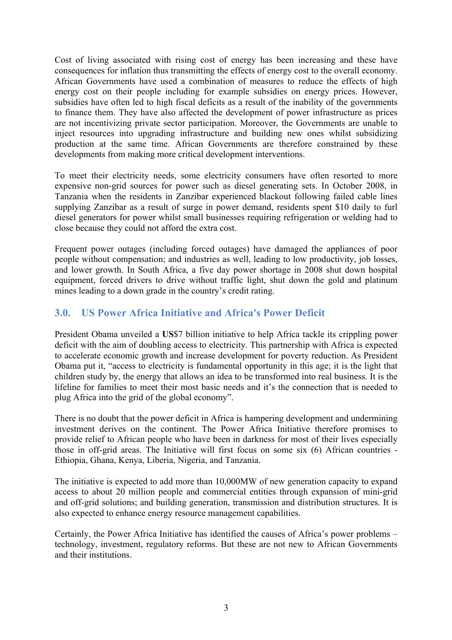Cost of living associated with rising cost of energy has been increasing and these have consequences for inflation thus transmitting the effects of energy cost to the overall economy. African Governments have used a combination of measures to reduce the effects of high energy cost on their people including for example subsidies on energy prices. However, subsidies have often led to high fiscal deficits as a result of the inability of the governments to finance them. They have also affected the development of power infrastructure as prices are not incentivizing private sector participation. Moreover, the Governments are unable to inject resources into upgrading infrastructure and building new ones whilst subsidizing production at the same time. African Governments are therefore constrained by these developments from making more critical development interventions.

To meet their electricity needs, some electricity consumers have often resorted to more expensive non-grid sources for power such as diesel generating sets. In October 2008, in Tanzania when the residents in Zanzibar experienced blackout following failed cable lines supplying Zanzibar as a result of surge in power demand, residents spent \$10 daily to furl diesel generators for power whilst small businesses requiring refrigeration or welding had to close because they could not afford the extra cost.

Frequent power outages (including forced outages) have damaged the appliances of poor people without compensation; and industries as well, leading to low productivity, job losses, and lower growth. In South Africa, a five day power shortage in 2008 shut down hospital equipment, forced drivers to drive without traffic light, shut down the gold and platinum mines leading to a down grade in the country's credit rating.

# **3.0. US Power Africa Initiative and Africa's Power Deficit**

President Obama unveiled a **US**\$7 billion initiative to help Africa tackle its crippling power deficit with the aim of doubling access to electricity. This partnership with Africa is expected to accelerate economic growth and increase development for poverty reduction. As President Obama put it, "access to electricity is fundamental opportunity in this age; it is the light that children study by, the energy that allows an idea to be transformed into real business. It is the lifeline for families to meet their most basic needs and it's the connection that is needed to plug Africa into the grid of the global economy".

There is no doubt that the power deficit in Africa is hampering development and undermining investment derives on the continent. The Power Africa Initiative therefore promises to provide relief to African people who have been in darkness for most of their lives especially those in off-grid areas. The Initiative will first focus on some six (6) African countries - Ethiopia, Ghana, Kenya, Liberia, Nigeria, and Tanzania.

The initiative is expected to add more than 10,000MW of new generation capacity to expand access to about 20 million people and commercial entities through expansion of mini-grid and off-grid solutions; and building generation, transmission and distribution structures. It is also expected to enhance energy resource management capabilities.

Certainly, the Power Africa Initiative has identified the causes of Africa's power problems – technology, investment, regulatory reforms. But these are not new to African Governments and their institutions.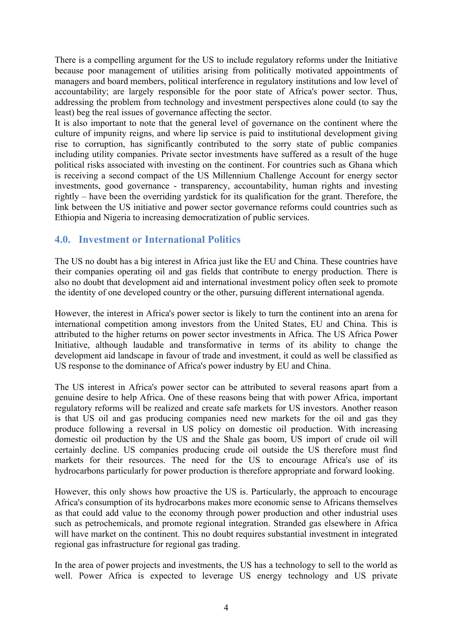There is a compelling argument for the US to include regulatory reforms under the Initiative because poor management of utilities arising from politically motivated appointments of managers and board members, political interference in regulatory institutions and low level of accountability; are largely responsible for the poor state of Africa's power sector. Thus, addressing the problem from technology and investment perspectives alone could (to say the least) beg the real issues of governance affecting the sector.

It is also important to note that the general level of governance on the continent where the culture of impunity reigns, and where lip service is paid to institutional development giving rise to corruption, has significantly contributed to the sorry state of public companies including utility companies. Private sector investments have suffered as a result of the huge political risks associated with investing on the continent. For countries such as Ghana which is receiving a second compact of the US Millennium Challenge Account for energy sector investments, good governance - transparency, accountability, human rights and investing rightly – have been the overriding yardstick for its qualification for the grant. Therefore, the link between the US initiative and power sector governance reforms could countries such as Ethiopia and Nigeria to increasing democratization of public services.

# **4.0. Investment or International Politics**

The US no doubt has a big interest in Africa just like the EU and China. These countries have their companies operating oil and gas fields that contribute to energy production. There is also no doubt that development aid and international investment policy often seek to promote the identity of one developed country or the other, pursuing different international agenda.

However, the interest in Africa's power sector is likely to turn the continent into an arena for international competition among investors from the United States, EU and China. This is attributed to the higher returns on power sector investments in Africa. The US Africa Power Initiative, although laudable and transformative in terms of its ability to change the development aid landscape in favour of trade and investment, it could as well be classified as US response to the dominance of Africa's power industry by EU and China.

The US interest in Africa's power sector can be attributed to several reasons apart from a genuine desire to help Africa. One of these reasons being that with power Africa, important regulatory reforms will be realized and create safe markets for US investors. Another reason is that US oil and gas producing companies need new markets for the oil and gas they produce following a reversal in US policy on domestic oil production. With increasing domestic oil production by the US and the Shale gas boom, US import of crude oil will certainly decline. US companies producing crude oil outside the US therefore must find markets for their resources. The need for the US to encourage Africa's use of its hydrocarbons particularly for power production is therefore appropriate and forward looking.

However, this only shows how proactive the US is. Particularly, the approach to encourage Africa's consumption of its hydrocarbons makes more economic sense to Africans themselves as that could add value to the economy through power production and other industrial uses such as petrochemicals, and promote regional integration. Stranded gas elsewhere in Africa will have market on the continent. This no doubt requires substantial investment in integrated regional gas infrastructure for regional gas trading.

In the area of power projects and investments, the US has a technology to sell to the world as well. Power Africa is expected to leverage US energy technology and US private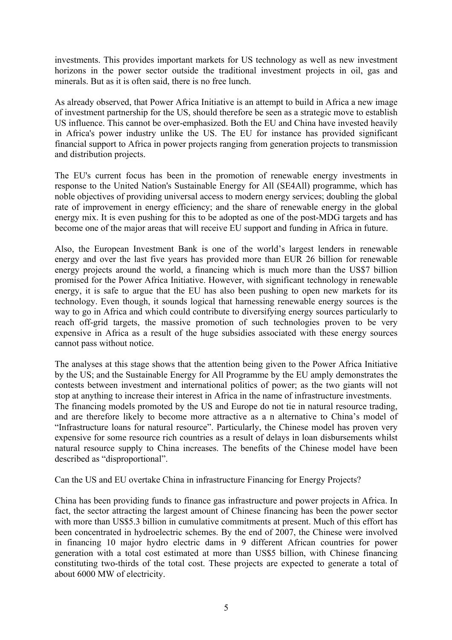investments. This provides important markets for US technology as well as new investment horizons in the power sector outside the traditional investment projects in oil, gas and minerals. But as it is often said, there is no free lunch.

As already observed, that Power Africa Initiative is an attempt to build in Africa a new image of investment partnership for the US, should therefore be seen as a strategic move to establish US influence. This cannot be over-emphasized. Both the EU and China have invested heavily in Africa's power industry unlike the US. The EU for instance has provided significant financial support to Africa in power projects ranging from generation projects to transmission and distribution projects.

The EU's current focus has been in the promotion of renewable energy investments in response to the United Nation's Sustainable Energy for All (SE4All) programme, which has noble objectives of providing universal access to modern energy services; doubling the global rate of improvement in energy efficiency; and the share of renewable energy in the global energy mix. It is even pushing for this to be adopted as one of the post-MDG targets and has become one of the major areas that will receive EU support and funding in Africa in future.

Also, the European Investment Bank is one of the world's largest lenders in renewable energy and over the last five years has provided more than EUR 26 billion for renewable energy projects around the world, a financing which is much more than the US\$7 billion promised for the Power Africa Initiative. However, with significant technology in renewable energy, it is safe to argue that the EU has also been pushing to open new markets for its technology. Even though, it sounds logical that harnessing renewable energy sources is the way to go in Africa and which could contribute to diversifying energy sources particularly to reach off-grid targets, the massive promotion of such technologies proven to be very expensive in Africa as a result of the huge subsidies associated with these energy sources cannot pass without notice.

The analyses at this stage shows that the attention being given to the Power Africa Initiative by the US; and the Sustainable Energy for All Programme by the EU amply demonstrates the contests between investment and international politics of power; as the two giants will not stop at anything to increase their interest in Africa in the name of infrastructure investments. The financing models promoted by the US and Europe do not tie in natural resource trading, and are therefore likely to become more attractive as a n alternative to China's model of "Infrastructure loans for natural resource". Particularly, the Chinese model has proven very expensive for some resource rich countries as a result of delays in loan disbursements whilst natural resource supply to China increases. The benefits of the Chinese model have been described as "disproportional".

Can the US and EU overtake China in infrastructure Financing for Energy Projects?

China has been providing funds to finance gas infrastructure and power projects in Africa. In fact, the sector attracting the largest amount of Chinese financing has been the power sector with more than US\$5.3 billion in cumulative commitments at present. Much of this effort has been concentrated in hydroelectric schemes. By the end of 2007, the Chinese were involved in financing 10 major hydro electric dams in 9 different African countries for power generation with a total cost estimated at more than US\$5 billion, with Chinese financing constituting two-thirds of the total cost. These projects are expected to generate a total of about 6000 MW of electricity.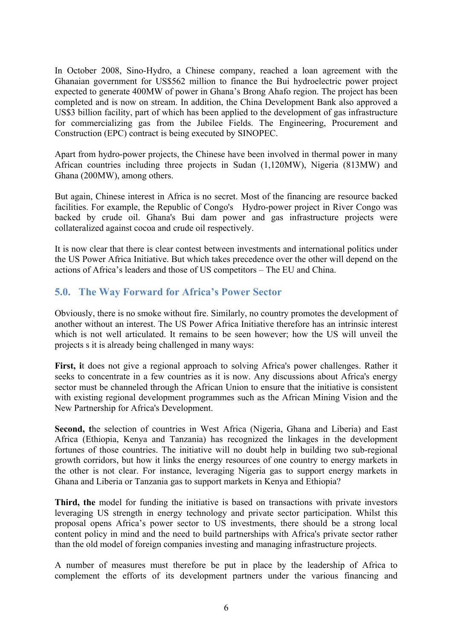In October 2008, Sino-Hydro, a Chinese company, reached a loan agreement with the Ghanaian government for US\$562 million to finance the Bui hydroelectric power project expected to generate 400MW of power in Ghana's Brong Ahafo region. The project has been completed and is now on stream. In addition, the China Development Bank also approved a US\$3 billion facility, part of which has been applied to the development of gas infrastructure for commercializing gas from the Jubilee Fields. The Engineering, Procurement and Construction (EPC) contract is being executed by SINOPEC.

Apart from hydro-power projects, the Chinese have been involved in thermal power in many African countries including three projects in Sudan (1,120MW), Nigeria (813MW) and Ghana (200MW), among others.

But again, Chinese interest in Africa is no secret. Most of the financing are resource backed facilities. For example, the Republic of Congo's Hydro-power project in River Congo was backed by crude oil. Ghana's Bui dam power and gas infrastructure projects were collateralized against cocoa and crude oil respectively.

It is now clear that there is clear contest between investments and international politics under the US Power Africa Initiative. But which takes precedence over the other will depend on the actions of Africa's leaders and those of US competitors – The EU and China.

# **5.0. The Way Forward for Africa's Power Sector**

Obviously, there is no smoke without fire. Similarly, no country promotes the development of another without an interest. The US Power Africa Initiative therefore has an intrinsic interest which is not well articulated. It remains to be seen however; how the US will unveil the projects s it is already being challenged in many ways:

**First, i**t does not give a regional approach to solving Africa's power challenges. Rather it seeks to concentrate in a few countries as it is now. Any discussions about Africa's energy sector must be channeled through the African Union to ensure that the initiative is consistent with existing regional development programmes such as the African Mining Vision and the New Partnership for Africa's Development.

Second, the selection of countries in West Africa (Nigeria, Ghana and Liberia) and East Africa (Ethiopia, Kenya and Tanzania) has recognized the linkages in the development fortunes of those countries. The initiative will no doubt help in building two sub-regional growth corridors, but how it links the energy resources of one country to energy markets in the other is not clear. For instance, leveraging Nigeria gas to support energy markets in Ghana and Liberia or Tanzania gas to support markets in Kenya and Ethiopia?

**Third, the** model for funding the initiative is based on transactions with private investors leveraging US strength in energy technology and private sector participation. Whilst this proposal opens Africa's power sector to US investments, there should be a strong local content policy in mind and the need to build partnerships with Africa's private sector rather than the old model of foreign companies investing and managing infrastructure projects.

A number of measures must therefore be put in place by the leadership of Africa to complement the efforts of its development partners under the various financing and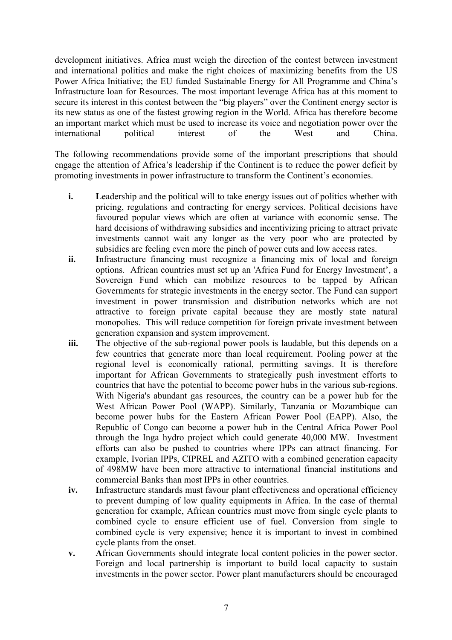development initiatives. Africa must weigh the direction of the contest between investment and international politics and make the right choices of maximizing benefits from the US Power Africa Initiative; the EU funded Sustainable Energy for All Programme and China's Infrastructure loan for Resources. The most important leverage Africa has at this moment to secure its interest in this contest between the "big players" over the Continent energy sector is its new status as one of the fastest growing region in the World. Africa has therefore become an important market which must be used to increase its voice and negotiation power over the international political interest of the West and China.

The following recommendations provide some of the important prescriptions that should engage the attention of Africa's leadership if the Continent is to reduce the power deficit by promoting investments in power infrastructure to transform the Continent's economies.

- **i.** Leadership and the political will to take energy issues out of politics whether with pricing, regulations and contracting for energy services. Political decisions have favoured popular views which are often at variance with economic sense. The hard decisions of withdrawing subsidies and incentivizing pricing to attract private investments cannot wait any longer as the very poor who are protected by subsidies are feeling even more the pinch of power cuts and low access rates.
- **ii. I**nfrastructure financing must recognize a financing mix of local and foreign options. African countries must set up an 'Africa Fund for Energy Investment', a Sovereign Fund which can mobilize resources to be tapped by African Governments for strategic investments in the energy sector. The Fund can support investment in power transmission and distribution networks which are not attractive to foreign private capital because they are mostly state natural monopolies. This will reduce competition for foreign private investment between generation expansion and system improvement.
- **iii.** The objective of the sub-regional power pools is laudable, but this depends on a few countries that generate more than local requirement. Pooling power at the regional level is economically rational, permitting savings. It is therefore important for African Governments to strategically push investment efforts to countries that have the potential to become power hubs in the various sub-regions. With Nigeria's abundant gas resources, the country can be a power hub for the West African Power Pool (WAPP). Similarly, Tanzania or Mozambique can become power hubs for the Eastern African Power Pool (EAPP). Also, the Republic of Congo can become a power hub in the Central Africa Power Pool through the Inga hydro project which could generate 40,000 MW. Investment efforts can also be pushed to countries where IPPs can attract financing. For example, Ivorian IPPs, CIPREL and AZITO with a combined generation capacity of 498MW have been more attractive to international financial institutions and commercial Banks than most IPPs in other countries.
- **iv. I**nfrastructure standards must favour plant effectiveness and operational efficiency to prevent dumping of low quality equipments in Africa. In the case of thermal generation for example, African countries must move from single cycle plants to combined cycle to ensure efficient use of fuel. Conversion from single to combined cycle is very expensive; hence it is important to invest in combined cycle plants from the onset.
- **v. A**frican Governments should integrate local content policies in the power sector. Foreign and local partnership is important to build local capacity to sustain investments in the power sector. Power plant manufacturers should be encouraged